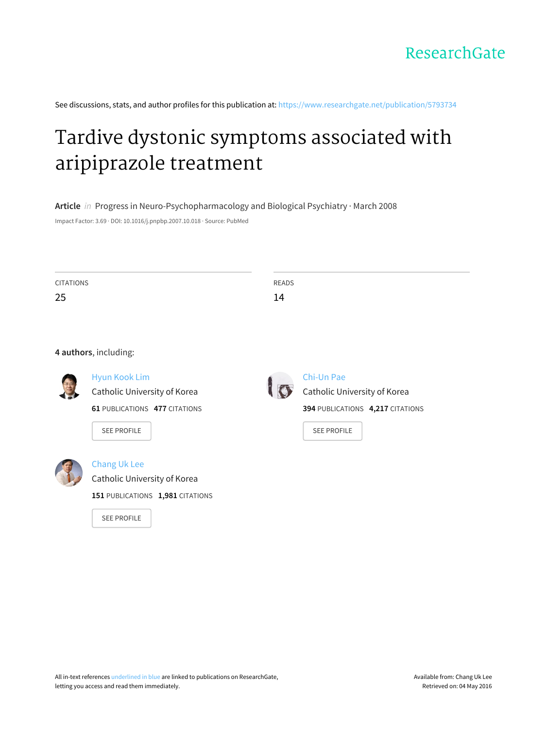

See discussions, stats, and author profiles for this publication at: [https://www.researchgate.net/publication/5793734](https://www.researchgate.net/publication/5793734_Tardive_dystonic_symptoms_associated_with_aripiprazole_treatment?enrichId=rgreq-8c087ba9-60bd-4627-b011-0f060aa5cda7&enrichSource=Y292ZXJQYWdlOzU3OTM3MzQ7QVM6MzM5ODA0NTIxODEyMDAxQDE0NTgwMjcxMTk4MTc%3D&el=1_x_2)

# Tardive dystonic symptoms associated with [aripiprazole](https://www.researchgate.net/publication/5793734_Tardive_dystonic_symptoms_associated_with_aripiprazole_treatment?enrichId=rgreq-8c087ba9-60bd-4627-b011-0f060aa5cda7&enrichSource=Y292ZXJQYWdlOzU3OTM3MzQ7QVM6MzM5ODA0NTIxODEyMDAxQDE0NTgwMjcxMTk4MTc%3D&el=1_x_3) treatment

**Article** in Progress in Neuro-Psychopharmacology and Biological Psychiatry · March 2008 Impact Factor: 3.69 · DOI: 10.1016/j.pnpbp.2007.10.018 · Source: PubMed

| <b>CITATIONS</b><br>25 |                                                      | <b>READS</b><br>14 |                                            |
|------------------------|------------------------------------------------------|--------------------|--------------------------------------------|
|                        |                                                      |                    |                                            |
| 4 authors, including:  |                                                      |                    |                                            |
|                        | <b>Hyun Kook Lim</b><br>Catholic University of Korea |                    | Chi-Un Pae<br>Catholic University of Korea |
|                        | <b>61 PUBLICATIONS 477 CITATIONS</b>                 |                    | 394 PUBLICATIONS 4,217 CITATIONS           |
|                        | <b>SEE PROFILE</b>                                   |                    | <b>SEE PROFILE</b>                         |
|                        | Chang Uk Lee                                         |                    |                                            |
|                        | Catholic University of Korea                         |                    |                                            |
|                        | 151 PUBLICATIONS 1,981 CITATIONS                     |                    |                                            |
|                        | <b>SEE PROFILE</b>                                   |                    |                                            |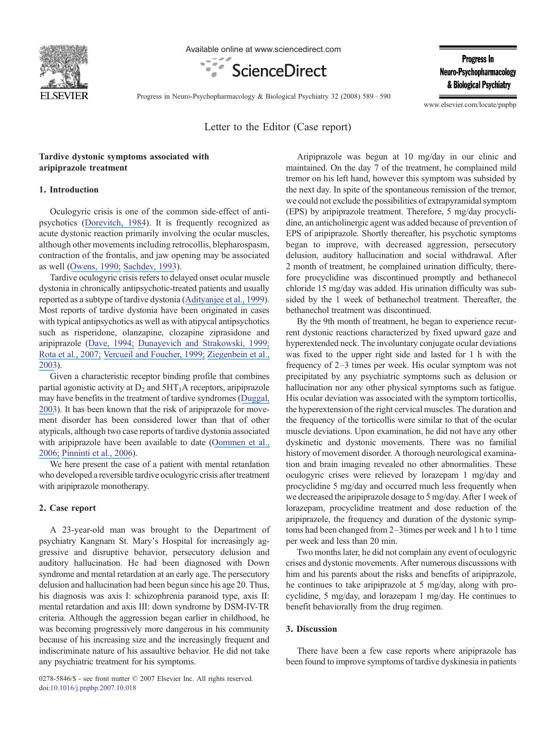

Available online at www.sciencedirect.com



**Progress In** Neuro-Psychopharmacology & Biological Psychiatry

Progress in Neuro-Psychopharmacology & Biological Psychiatry 32 (2008) 589–590

www.elsevier.com/locate/pnpbp

Letter to the Editor (Case report)

## Tardive dystonic symptoms associated with aripiprazole treatment

#### 1. Introduction

Oculogyric crisis is one of the common side-effect of antipsychotics ([Dorevitch, 1984](https://www.researchgate.net/publication/17046313_Neuroleptics_as_Causes_of_Oculogyric_Crises?el=1_x_8&enrichId=rgreq-8c087ba9-60bd-4627-b011-0f060aa5cda7&enrichSource=Y292ZXJQYWdlOzU3OTM3MzQ7QVM6MzM5ODA0NTIxODEyMDAxQDE0NTgwMjcxMTk4MTc=)). It is frequently recognized as acute dystonic reaction primarily involving the ocular muscles, although other movements including retrocollis, blepharospasm, contraction of the frontalis, and jaw opening may be associated as well ([Owens, 1990;](https://www.researchgate.net/publication/21172862_Dystonia_A_potential_psychiatric_pitfall?el=1_x_8&enrichId=rgreq-8c087ba9-60bd-4627-b011-0f060aa5cda7&enrichSource=Y292ZXJQYWdlOzU3OTM3MzQ7QVM6MzM5ODA0NTIxODEyMDAxQDE0NTgwMjcxMTk4MTc=) [Sachdev, 1993](https://www.researchgate.net/publication/15104802_Tardive_and_chronically_recurrent_oculogyric_crises?el=1_x_8&enrichId=rgreq-8c087ba9-60bd-4627-b011-0f060aa5cda7&enrichSource=Y292ZXJQYWdlOzU3OTM3MzQ7QVM6MzM5ODA0NTIxODEyMDAxQDE0NTgwMjcxMTk4MTc=)).

Tardive oculogyric crisis refers to delayed onset ocular muscle dystonia in chronically antipsychotic-treated patients and usually reported as a subtype of tardive dystonia ([Adityanjee et al., 1999](https://www.researchgate.net/publication/13110131_The_current_status_of_tardive_dystonia?el=1_x_8&enrichId=rgreq-8c087ba9-60bd-4627-b011-0f060aa5cda7&enrichSource=Y292ZXJQYWdlOzU3OTM3MzQ7QVM6MzM5ODA0NTIxODEyMDAxQDE0NTgwMjcxMTk4MTc=)). Most reports of tardive dystonia have been originated in cases with typical antipsychotics as well as with atipycal antipsychotics such as risperidone, olanzapine, clozapine ziprasidone and aripiprazole ([Dave, 1994;](https://www.researchgate.net/publication/15128532_Tardive_oculogyric_crises_with_clozapine?el=1_x_8&enrichId=rgreq-8c087ba9-60bd-4627-b011-0f060aa5cda7&enrichSource=Y292ZXJQYWdlOzU3OTM3MzQ7QVM6MzM5ODA0NTIxODEyMDAxQDE0NTgwMjcxMTk4MTc=) [Dunayevich and Strakowski, 1999;](https://www.researchgate.net/publication/12782679_Olanzapine-Induced_Tardive_Dystonia?el=1_x_8&enrichId=rgreq-8c087ba9-60bd-4627-b011-0f060aa5cda7&enrichSource=Y292ZXJQYWdlOzU3OTM3MzQ7QVM6MzM5ODA0NTIxODEyMDAxQDE0NTgwMjcxMTk4MTc=) [Rota et al., 2007;](https://www.researchgate.net/publication/6938497_Pisa_syndrome_during_aripiprazole_treatment_A_case_report?el=1_x_8&enrichId=rgreq-8c087ba9-60bd-4627-b011-0f060aa5cda7&enrichSource=Y292ZXJQYWdlOzU3OTM3MzQ7QVM6MzM5ODA0NTIxODEyMDAxQDE0NTgwMjcxMTk4MTc=) [Vercueil and Foucher, 1999;](https://www.researchgate.net/publication/12839850_Risperidone-induced_tardive_dystonia_and_psychosis?el=1_x_8&enrichId=rgreq-8c087ba9-60bd-4627-b011-0f060aa5cda7&enrichSource=Y292ZXJQYWdlOzU3OTM3MzQ7QVM6MzM5ODA0NTIxODEyMDAxQDE0NTgwMjcxMTk4MTc=) [Ziegenbein et al.,](https://www.researchgate.net/publication/8999402_Ziprasidone-Induced_Pisa_Syndrome_after_Clozapine_Treatment?el=1_x_8&enrichId=rgreq-8c087ba9-60bd-4627-b011-0f060aa5cda7&enrichSource=Y292ZXJQYWdlOzU3OTM3MzQ7QVM6MzM5ODA0NTIxODEyMDAxQDE0NTgwMjcxMTk4MTc=) [2003](https://www.researchgate.net/publication/8999402_Ziprasidone-Induced_Pisa_Syndrome_after_Clozapine_Treatment?el=1_x_8&enrichId=rgreq-8c087ba9-60bd-4627-b011-0f060aa5cda7&enrichSource=Y292ZXJQYWdlOzU3OTM3MzQ7QVM6MzM5ODA0NTIxODEyMDAxQDE0NTgwMjcxMTk4MTc=)).

Given a characteristic receptor binding profile that combines partial agonistic activity at  $D_2$  and  $5HT_1A$  receptors, aripiprazole may have benefits in the treatment of tardive syndromes ([Duggal,](https://www.researchgate.net/publication/8912198_Aripiprazole-Induced_Improvement_in_Tardive_Dyskinesia_4?el=1_x_8&enrichId=rgreq-8c087ba9-60bd-4627-b011-0f060aa5cda7&enrichSource=Y292ZXJQYWdlOzU3OTM3MzQ7QVM6MzM5ODA0NTIxODEyMDAxQDE0NTgwMjcxMTk4MTc=) [2003](https://www.researchgate.net/publication/8912198_Aripiprazole-Induced_Improvement_in_Tardive_Dyskinesia_4?el=1_x_8&enrichId=rgreq-8c087ba9-60bd-4627-b011-0f060aa5cda7&enrichSource=Y292ZXJQYWdlOzU3OTM3MzQ7QVM6MzM5ODA0NTIxODEyMDAxQDE0NTgwMjcxMTk4MTc=)). It has been known that the risk of aripiprazole for movement disorder has been considered lower than that of other atypicals, although two case reports of tardive dystonia associated with aripiprazole have been available to date ([Oommen et al.,](https://www.researchgate.net/publication/6558668_Aripiprazole-induced_tardive_dystonia_3?el=1_x_8&enrichId=rgreq-8c087ba9-60bd-4627-b011-0f060aa5cda7&enrichSource=Y292ZXJQYWdlOzU3OTM3MzQ7QVM6MzM5ODA0NTIxODEyMDAxQDE0NTgwMjcxMTk4MTc=) [2006;](https://www.researchgate.net/publication/6558668_Aripiprazole-induced_tardive_dystonia_3?el=1_x_8&enrichId=rgreq-8c087ba9-60bd-4627-b011-0f060aa5cda7&enrichSource=Y292ZXJQYWdlOzU3OTM3MzQ7QVM6MzM5ODA0NTIxODEyMDAxQDE0NTgwMjcxMTk4MTc=) [Pinninti et al., 2006](https://www.researchgate.net/publication/6826545_Tardive_Dystonia-Associated_Prescription_of_Aripiprazole?el=1_x_8&enrichId=rgreq-8c087ba9-60bd-4627-b011-0f060aa5cda7&enrichSource=Y292ZXJQYWdlOzU3OTM3MzQ7QVM6MzM5ODA0NTIxODEyMDAxQDE0NTgwMjcxMTk4MTc=)).

We here present the case of a patient with mental retardation who developed a reversible tardive oculogyric crisis after treatment with aripiprazole monotherapy.

## 2. Case report

A 23-year-old man was brought to the Department of psychiatry Kangnam St. Mary's Hospital for increasingly aggressive and disruptive behavior, persecutory delusion and auditory hallucination. He had been diagnosed with Down syndrome and mental retardation at an early age. The persecutory delusion and hallucination had been begun since his age 20. Thus, his diagnosis was axis I: schizophrenia paranoid type, axis II: mental retardation and axis III: down syndrome by DSM-IV-TR criteria. Although the aggression began earlier in childhood, he was becoming progressively more dangerous in his community because of his increasing size and the increasingly frequent and indiscriminate nature of his assaultive behavior. He did not take any psychiatric treatment for his symptoms.

Aripiprazole was begun at 10 mg/day in our clinic and maintained. On the day 7 of the treatment, he complained mild tremor on his left hand, however this symptom was subsided by the next day. In spite of the spontaneous remission of the tremor, we could not exclude the possibilities of extrapyramidal symptom (EPS) by aripiprazole treatment. Therefore, 5 mg/day procyclidine, an anticholinergic agent was added because of prevention of EPS of aripiprazole. Shortly thereafter, his psychotic symptoms began to improve, with decreased aggression, persecutory delusion, auditory hallucination and social withdrawal. After 2 month of treatment, he complained urination difficulty, therefore procyclidine was discontinued promptly and bethanecol chloride 15 mg/day was added. His urination difficulty was subsided by the 1 week of bethanechol treatment. Thereafter, the bethanechol treatment was discontinued.

By the 9th month of treatment, he began to experience recurrent dystonic reactions characterized by fixed upward gaze and hyperextended neck. The involuntary conjugate ocular deviations was fixed to the upper right side and lasted for 1 h with the frequency of 2–3 times per week. His ocular symptom was not precipitated by any psychiatric symptoms such as delusion or hallucination nor any other physical symptoms such as fatigue. His ocular deviation was associated with the symptom torticollis, the hyperextension of the right cervical muscles. The duration and the frequency of the torticollis were similar to that of the ocular muscle deviations. Upon examination, he did not have any other dyskinetic and dystonic movements. There was no familial history of movement disorder. A thorough neurological examination and brain imaging revealed no other abnormalities. These oculogyric crises were relieved by lorazepam 1 mg/day and procyclidine 5 mg/day and occurred much less frequently when we decreased the aripiprazole dosage to 5 mg/day. After 1 week of lorazepam, procyclidine treatment and dose reduction of the aripiprazole, the frequency and duration of the dystonic symptoms had been changed from 2–3times per week and 1 h to 1 time per week and less than 20 min.

Two months later, he did not complain any event of oculogyric crises and dystonic movements. After numerous discussions with him and his parents about the risks and benefits of aripiprazole, he continues to take aripiprazole at 5 mg/day, along with procyclidine, 5 mg/day, and lorazepam 1 mg/day. He continues to benefit behaviorally from the drug regimen.

## 3. Discussion

There have been a few case reports where aripiprazole has been found to improve symptoms of tardive dyskinesia in patients